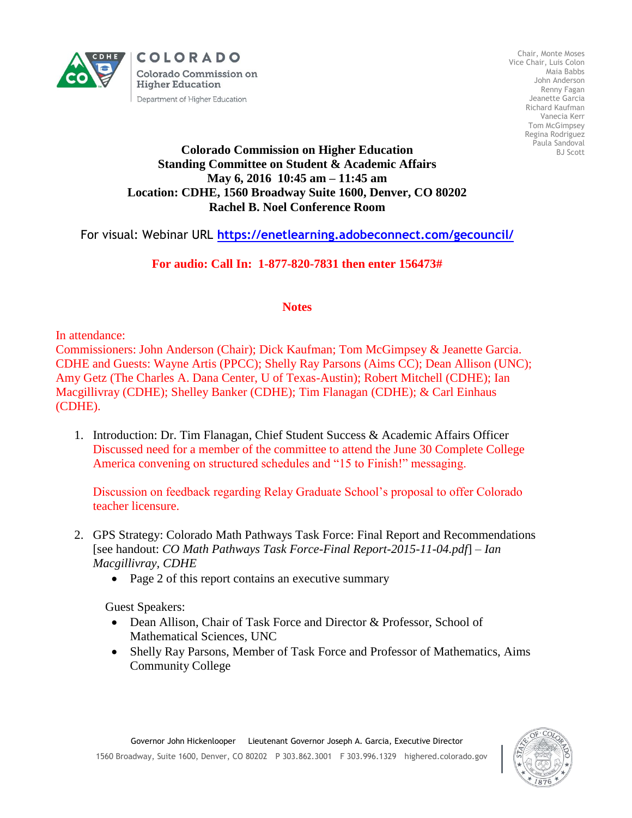

COLORADO **Colorado Commission on Higher Education** Department of Higher Education

Chair, Monte Moses Vice Chair, Luis Colon Maia Babbs John Anderson Renny Fagan Jeanette Garcia Richard Kaufman Vanecia Kerr Tom McGimpsey Regina Rodriguez Paula Sandoval BJ Scott

## **Colorado Commission on Higher Education Standing Committee on Student & Academic Affairs May 6, 2016 10:45 am – 11:45 am Location: CDHE, 1560 Broadway Suite 1600, Denver, CO 80202 Rachel B. Noel Conference Room**

For visual: Webinar URL **<https://enetlearning.adobeconnect.com/gecouncil/>**

## **For audio: Call In: 1-877-820-7831 then enter 156473#**

## **Notes**

In attendance:

Commissioners: John Anderson (Chair); Dick Kaufman; Tom McGimpsey & Jeanette Garcia. CDHE and Guests: Wayne Artis (PPCC); Shelly Ray Parsons (Aims CC); Dean Allison (UNC); Amy Getz (The Charles A. Dana Center, U of Texas-Austin); Robert Mitchell (CDHE); Ian Macgillivray (CDHE); Shelley Banker (CDHE); Tim Flanagan (CDHE); & Carl Einhaus (CDHE).

1. Introduction: Dr. Tim Flanagan, Chief Student Success & Academic Affairs Officer Discussed need for a member of the committee to attend the June 30 Complete College America convening on structured schedules and "15 to Finish!" messaging.

Discussion on feedback regarding Relay Graduate School's proposal to offer Colorado teacher licensure.

- 2. GPS Strategy: Colorado Math Pathways Task Force: Final Report and Recommendations [see handout: *CO Math Pathways Task Force-Final Report-2015-11-04.pdf*] – *Ian Macgillivray, CDHE*
	- Page 2 of this report contains an executive summary

Guest Speakers:

- Dean Allison, Chair of Task Force and Director & Professor, School of Mathematical Sciences, UNC
- Shelly Ray Parsons, Member of Task Force and Professor of Mathematics, Aims Community College